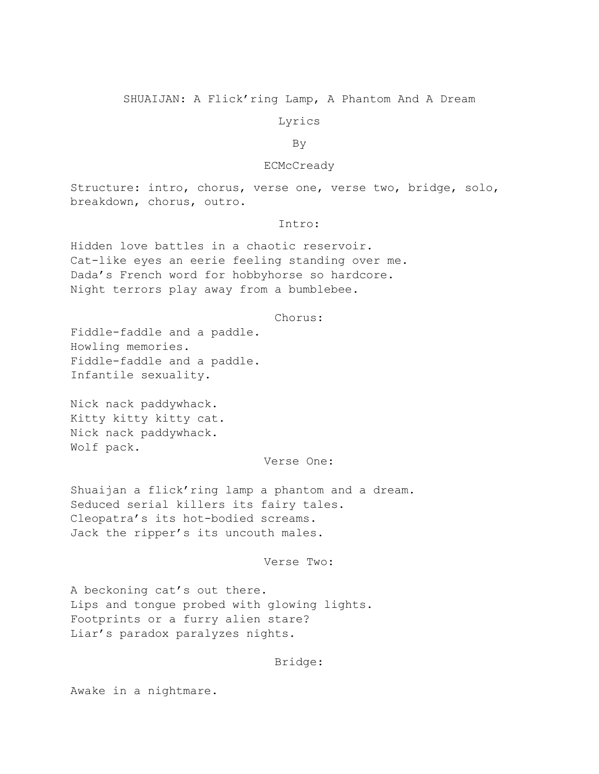# SHUAIJAN: A Flick'ring Lamp, A Phantom And A Dream

# Lyrics

## By

### ECMcCready

Structure: intro, chorus, verse one, verse two, bridge, solo, breakdown, chorus, outro.

#### Intro:

Hidden love battles in a chaotic reservoir. Cat-like eyes an eerie feeling standing over me. Dada's French word for hobbyhorse so hardcore. Night terrors play away from a bumblebee.

## Chorus:

Fiddle-faddle and a paddle. Howling memories. Fiddle-faddle and a paddle. Infantile sexuality.

Nick nack paddywhack. Kitty kitty kitty cat. Nick nack paddywhack. Wolf pack.

## Verse One:

Shuaijan a flick'ring lamp a phantom and a dream. Seduced serial killers its fairy tales. Cleopatra's its hot-bodied screams. Jack the ripper's its uncouth males.

### Verse Two:

A beckoning cat's out there. Lips and tongue probed with glowing lights. Footprints or a furry alien stare? Liar's paradox paralyzes nights.

Bridge:

Awake in a nightmare.